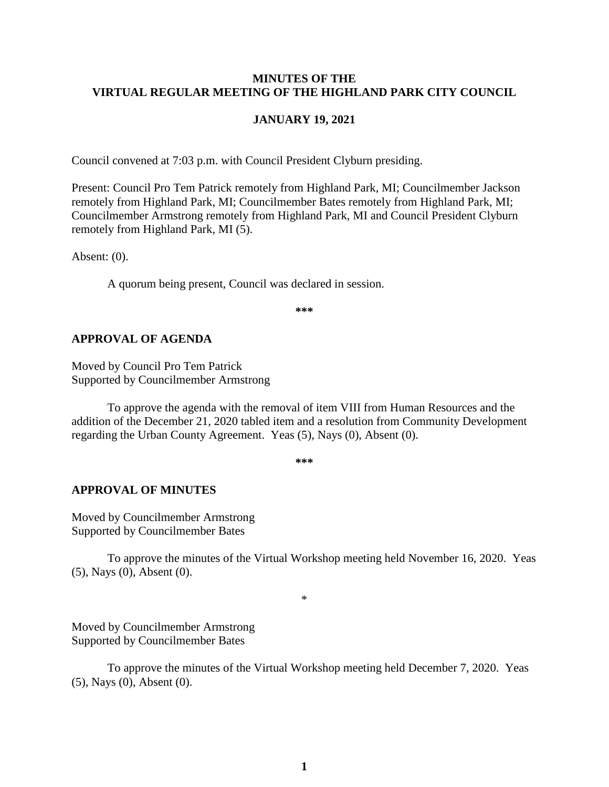### **MINUTES OF THE VIRTUAL REGULAR MEETING OF THE HIGHLAND PARK CITY COUNCIL**

#### **JANUARY 19, 2021**

Council convened at 7:03 p.m. with Council President Clyburn presiding.

Present: Council Pro Tem Patrick remotely from Highland Park, MI; Councilmember Jackson remotely from Highland Park, MI; Councilmember Bates remotely from Highland Park, MI; Councilmember Armstrong remotely from Highland Park, MI and Council President Clyburn remotely from Highland Park, MI (5).

Absent: (0).

A quorum being present, Council was declared in session.

**\*\*\***

### **APPROVAL OF AGENDA**

Moved by Council Pro Tem Patrick Supported by Councilmember Armstrong

To approve the agenda with the removal of item VIII from Human Resources and the addition of the December 21, 2020 tabled item and a resolution from Community Development regarding the Urban County Agreement. Yeas (5), Nays (0), Absent (0).

**\*\*\***

#### **APPROVAL OF MINUTES**

Moved by Councilmember Armstrong Supported by Councilmember Bates

To approve the minutes of the Virtual Workshop meeting held November 16, 2020.Yeas (5), Nays (0), Absent (0).

\*

Moved by Councilmember Armstrong Supported by Councilmember Bates

To approve the minutes of the Virtual Workshop meeting held December 7, 2020.Yeas (5), Nays (0), Absent (0).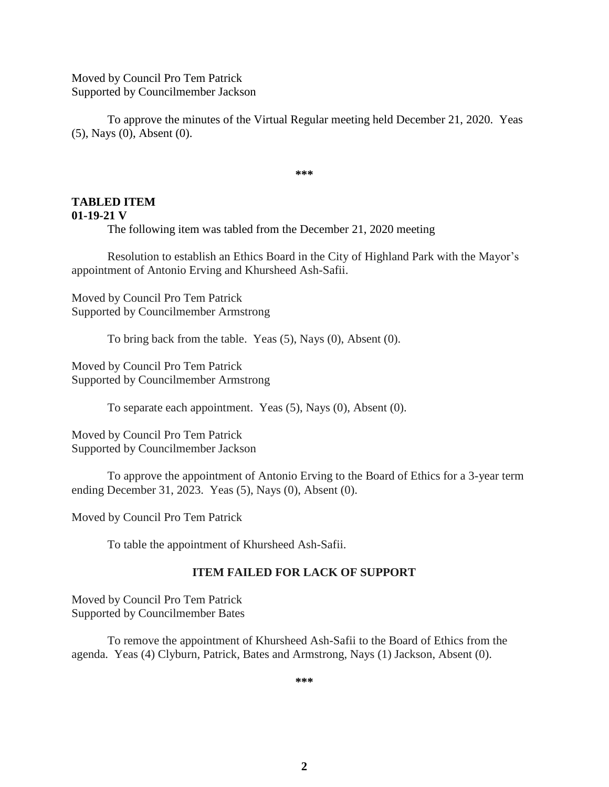Moved by Council Pro Tem Patrick Supported by Councilmember Jackson

To approve the minutes of the Virtual Regular meeting held December 21, 2020.Yeas (5), Nays (0), Absent (0).

**\*\*\***

# **TABLED ITEM**

#### **01-19-21 V**

The following item was tabled from the December 21, 2020 meeting

Resolution to establish an Ethics Board in the City of Highland Park with the Mayor's appointment of Antonio Erving and Khursheed Ash-Safii.

Moved by Council Pro Tem Patrick Supported by Councilmember Armstrong

To bring back from the table. Yeas (5), Nays (0), Absent (0).

Moved by Council Pro Tem Patrick Supported by Councilmember Armstrong

To separate each appointment. Yeas (5), Nays (0), Absent (0).

Moved by Council Pro Tem Patrick Supported by Councilmember Jackson

To approve the appointment of Antonio Erving to the Board of Ethics for a 3-year term ending December 31, 2023. Yeas (5), Nays (0), Absent (0).

Moved by Council Pro Tem Patrick

To table the appointment of Khursheed Ash-Safii.

#### **ITEM FAILED FOR LACK OF SUPPORT**

Moved by Council Pro Tem Patrick Supported by Councilmember Bates

To remove the appointment of Khursheed Ash-Safii to the Board of Ethics from the agenda. Yeas (4) Clyburn, Patrick, Bates and Armstrong, Nays (1) Jackson, Absent (0).

**\*\*\***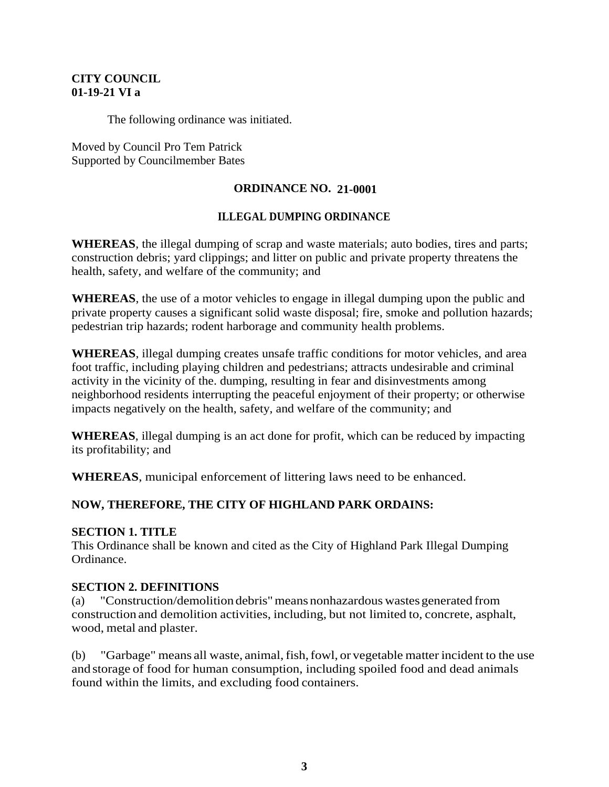## **CITY COUNCIL 01-19-21 VI a**

The following ordinance was initiated.

Moved by Council Pro Tem Patrick Supported by Councilmember Bates

### **ORDINANCE NO. 21-0001**

### **ILLEGAL DUMPING ORDINANCE**

**WHEREAS**, the illegal dumping of scrap and waste materials; auto bodies, tires and parts; construction debris; yard clippings; and litter on public and private property threatens the health, safety, and welfare of the community; and

**WHEREAS**, the use of a motor vehicles to engage in illegal dumping upon the public and private property causes a significant solid waste disposal; fire, smoke and pollution hazards; pedestrian trip hazards; rodent harborage and community health problems.

**WHEREAS**, illegal dumping creates unsafe traffic conditions for motor vehicles, and area foot traffic, including playing children and pedestrians; attracts undesirable and criminal activity in the vicinity of the. dumping, resulting in fear and disinvestments among neighborhood residents interrupting the peaceful enjoyment of their property; or otherwise impacts negatively on the health, safety, and welfare of the community; and

**WHEREAS**, illegal dumping is an act done for profit, which can be reduced by impacting its profitability; and

**WHEREAS**, municipal enforcement of littering laws need to be enhanced.

# **NOW, THEREFORE, THE CITY OF HIGHLAND PARK ORDAINS:**

### **SECTION 1. TITLE**

This Ordinance shall be known and cited as the City of Highland Park Illegal Dumping Ordinance.

### **SECTION 2. DEFINITIONS**

(a) "Construction/demolition debris"means nonhazardous wastesgenerated from construction and demolition activities, including, but not limited to, concrete, asphalt, wood, metal and plaster.

(b) "Garbage" means all waste, animal,fish,fowl, or vegetable matter incident to the use and storage of food for human consumption, including spoiled food and dead animals found within the limits, and excluding food containers.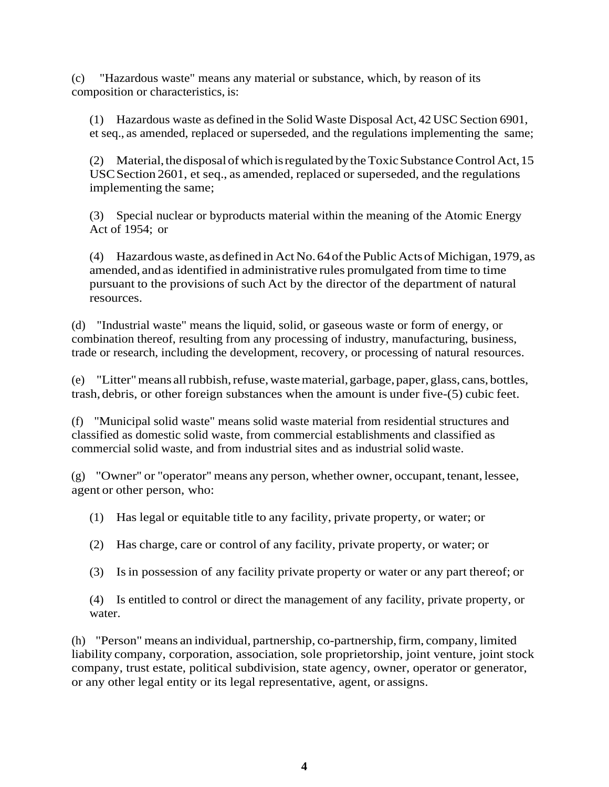(c) "Hazardous waste" means any material or substance, which, by reason of its composition or characteristics, is:

(1) Hazardous waste as defined in the Solid Waste Disposal Act, 42 USC Section 6901, et seq., as amended, replaced or superseded, and the regulations implementing the same;

(2) Material, the disposal of which is regulated by the Toxic Substance Control Act,  $15$ USCSection 2601, et seq., as amended, replaced or superseded, and the regulations implementing the same;

(3) Special nuclear or byproducts material within the meaning of the Atomic Energy Act of 1954; or

(4) Hazardous waste, asdefined in Act No.64ofthe Public Actsof Michigan,1979, as amended, andas identified in administrative rules promulgated from time to time pursuant to the provisions of such Act by the director of the department of natural resources.

(d) "Industrial waste" means the liquid, solid, or gaseous waste or form of energy, or combination thereof, resulting from any processing of industry, manufacturing, business, trade or research, including the development, recovery, or processing of natural resources.

(e) "Litter"means allrubbish,refuse,wastematerial,garbage, paper, glass, cans, bottles, trash,debris, or other foreign substances when the amount is under five-(5) cubic feet.

(f) "Municipal solid waste" means solid waste material from residential structures and classified as domestic solid waste, from commercial establishments and classified as commercial solid waste, and from industrial sites and as industrial solid waste.

(g) "Owner'' or "operator'' means any person, whether owner, occupant, tenant, lessee, agent or other person, who:

(1) Has legal or equitable title to any facility, private property, or water; or

(2) Has charge, care or control of any facility, private property, or water; or

(3) Isin possession of any facility private property or water or any part thereof; or

(4) Is entitled to control or direct the management of any facility, private property, or water.

(h) "Person" means an individual, partnership, co-partnership,firm, company, limited liability company, corporation, association, sole proprietorship, joint venture, joint stock company, trust estate, political subdivision, state agency, owner, operator or generator, or any other legal entity or its legal representative, agent, or assigns.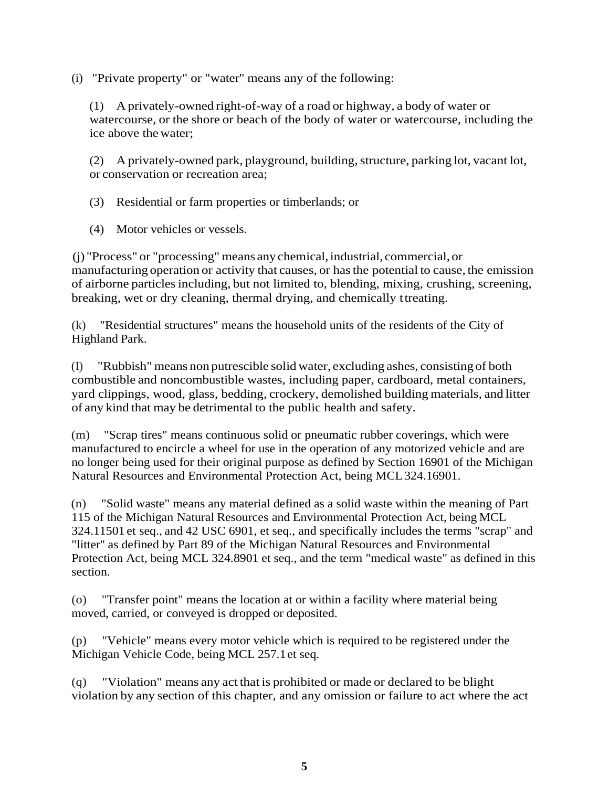(i) "Private property" or "water'' means any of the following:

(1) A privately-owned right-of-way of a road or highway, a body of water or watercourse, or the shore or beach of the body of water or watercourse, including the ice above the water;

(2) A privately-owned park, playground, building, structure, parking lot, vacant lot, or conservation or recreation area;

(3) Residential or farm properties or timberlands; or

(4) Motor vehicles or vessels.

(j) "Process" or "processing" means any chemical,industrial, commercial, or manufacturing operation or activity that causes, or hasthe potential to cause, the emission of airborne particles including, but not limited to, blending, mixing, crushing, screening, breaking, wet or dry cleaning, thermal drying, and chemically ttreating.

(k) "Residential structures" means the household units of the residents of the City of Highland Park.

(I) "Rubbish" means non putrescible solid water, excluding ashes, consisting of both combustible and noncombustible wastes, including paper, cardboard, metal containers, yard clippings, wood, glass, bedding, crockery, demolished building materials, and litter of any kind that may be detrimental to the public health and safety.

(m) "Scrap tires" means continuous solid or pneumatic rubber coverings, which were manufactured to encircle a wheel for use in the operation of any motorized vehicle and are no longer being used for their original purpose as defined by Section 16901 of the Michigan Natural Resources and Environmental Protection Act, being MCL324.16901.

(n) "Solid waste" means any material defined as a solid waste within the meaning of Part 115 of the Michigan Natural Resources and Environmental Protection Act, being MCL 324.11501 et seq., and 42 USC 6901, et seq., and specifically includes the terms "scrap" and "litter'' as defined by Part 89 of the Michigan Natural Resources and Environmental Protection Act, being MCL 324.8901 et seq., and the term "medical waste" as defined in this section.

(o) "Transfer point" means the location at or within a facility where material being moved, carried, or conveyed is dropped or deposited.

(p) "Vehicle" means every motor vehicle which is required to be registered under the Michigan Vehicle Code, being MCL 257.1et seq.

(q) "Violation" means any act that is prohibited or made or declared to be blight violation by any section of this chapter, and any omission or failure to act where the act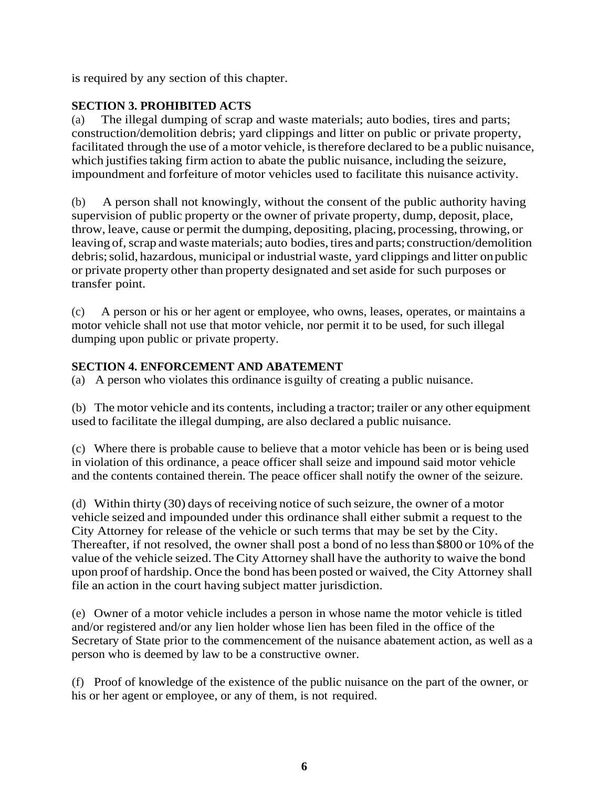is required by any section of this chapter.

# **SECTION 3. PROHIBITED ACTS**

(a) The illegal dumping of scrap and waste materials; auto bodies, tires and parts; construction/demolition debris; yard clippings and litter on public or private property, facilitated through the use of a motor vehicle, istherefore declared to be a public nuisance, which justifies taking firm action to abate the public nuisance, including the seizure, impoundment and forfeiture of motor vehicles used to facilitate this nuisance activity.

(b) A person shall not knowingly, without the consent of the public authority having supervision of public property or the owner of private property, dump, deposit, place, throw, leave, cause or permit the dumping, depositing, placing, processing, throwing, or leaving of, scrap and waste materials; auto bodies, tires and parts; construction/demolition debris;solid, hazardous, municipal or industrial waste, yard clippings and litter onpublic or private property other than property designated and set aside for such purposes or transfer point.

(c) A person or his or her agent or employee, who owns, leases, operates, or maintains a motor vehicle shall not use that motor vehicle, nor permit it to be used, for such illegal dumping upon public or private property.

# **SECTION 4. ENFORCEMENT AND ABATEMENT**

(a) A person who violates this ordinance isguilty of creating a public nuisance.

(b) The motor vehicle and its contents, including a tractor; trailer or any other equipment used to facilitate the illegal dumping, are also declared a public nuisance.

(c) Where there is probable cause to believe that a motor vehicle has been or is being used in violation of this ordinance, a peace officer shall seize and impound said motor vehicle and the contents contained therein. The peace officer shall notify the owner of the seizure.

(d) Within thirty (30) days of receiving notice of such seizure, the owner of a motor vehicle seized and impounded under this ordinance shall either submit a request to the City Attorney for release of the vehicle or such terms that may be set by the City. Thereafter, if not resolved, the owner shall post a bond of no lessthan \$800 or 10% of the value of the vehicle seized. The City Attorney shall have the authority to waive the bond upon proof of hardship. Once the bond has been posted or waived, the City Attorney shall file an action in the court having subject matter jurisdiction.

(e) Owner of a motor vehicle includes a person in whose name the motor vehicle is titled and/or registered and/or any lien holder whose lien has been filed in the office of the Secretary of State prior to the commencement of the nuisance abatement action, as well as a person who is deemed by law to be a constructive owner.

(f) Proof of knowledge of the existence of the public nuisance on the part of the owner, or his or her agent or employee, or any of them, is not required.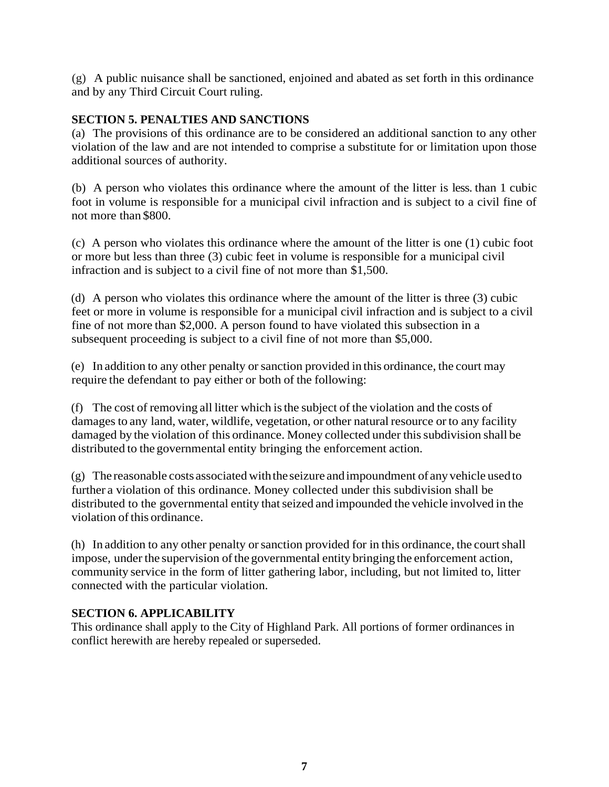(g) A public nuisance shall be sanctioned, enjoined and abated as set forth in this ordinance and by any Third Circuit Court ruling.

## **SECTION 5. PENALTIES AND SANCTIONS**

(a) The provisions of this ordinance are to be considered an additional sanction to any other violation of the law and are not intended to comprise a substitute for or limitation upon those additional sources of authority.

(b) A person who violates this ordinance where the amount of the litter is less. than 1 cubic foot in volume is responsible for a municipal civil infraction and is subject to a civil fine of not more than \$800.

(c) A person who violates this ordinance where the amount of the litter is one (1) cubic foot or more but less than three (3) cubic feet in volume is responsible for a municipal civil infraction and is subject to a civil fine of not more than \$1,500.

(d) A person who violates this ordinance where the amount of the litter is three (3) cubic feet or more in volume is responsible for a municipal civil infraction and is subject to a civil fine of not more than \$2,000. A person found to have violated this subsection in a subsequent proceeding is subject to a civil fine of not more than \$5,000.

(e) In addition to any other penalty orsanction provided in this ordinance, the court may require the defendant to pay either or both of the following:

(f) The cost of removing all litter which isthe subject of the violation and the costs of damages to any land, water, wildlife, vegetation, or other natural resource or to any facility damaged by the violation of this ordinance. Money collected under this subdivision shall be distributed to the governmental entity bringing the enforcement action.

 $(g)$  The reasonable costs associated with the seizure and impoundment of any vehicle used to further a violation of this ordinance. Money collected under this subdivision shall be distributed to the governmental entity that seized and impounded the vehicle involved in the violation of this ordinance.

(h) In addition to any other penalty orsanction provided for in this ordinance, the courtshall impose, under the supervision of the governmental entity bringing the enforcement action, community service in the form of litter gathering labor, including, but not limited to, litter connected with the particular violation.

# **SECTION 6. APPLICABILITY**

This ordinance shall apply to the City of Highland Park. All portions of former ordinances in conflict herewith are hereby repealed or superseded.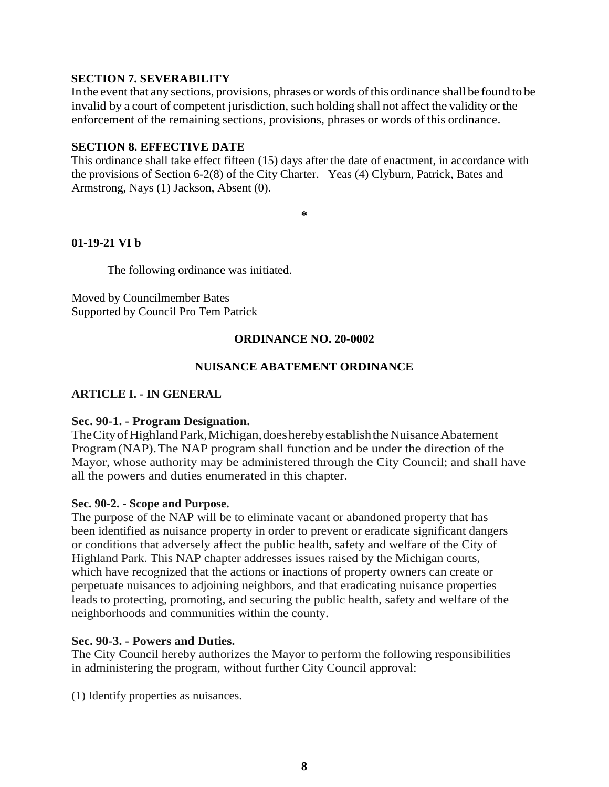## **SECTION 7. SEVERABILITY**

Inthe event that any sections, provisions, phrases or words ofthis ordinance shall be found to be invalid by a court of competent jurisdiction, such holding shall not affect the validity or the enforcement of the remaining sections, provisions, phrases or words of this ordinance.

### **SECTION 8. EFFECTIVE DATE**

This ordinance shall take effect fifteen (15) days after the date of enactment, in accordance with the provisions of Section 6-2(8) of the City Charter. Yeas (4) Clyburn, Patrick, Bates and Armstrong, Nays (1) Jackson, Absent (0).

**\***

# **01-19-21 VI b**

The following ordinance was initiated.

Moved by Councilmember Bates Supported by Council Pro Tem Patrick

# **ORDINANCE NO. 20-0002**

# **NUISANCE ABATEMENT ORDINANCE**

# **ARTICLE I. - IN GENERAL**

### **Sec. 90-1. - Program Designation.**

The City of Highland Park, Michigan, does hereby establish the Nuisance Abatement Program(NAP).The NAP program shall function and be under the direction of the Mayor, whose authority may be administered through the City Council; and shall have all the powers and duties enumerated in this chapter.

### **Sec. 90-2. - Scope and Purpose.**

The purpose of the NAP will be to eliminate vacant or abandoned property that has been identified as nuisance property in order to prevent or eradicate significant dangers or conditions that adversely affect the public health, safety and welfare of the City of Highland Park. This NAP chapter addresses issues raised by the Michigan courts, which have recognized that the actions or inactions of property owners can create or perpetuate nuisances to adjoining neighbors, and that eradicating nuisance properties leads to protecting, promoting, and securing the public health, safety and welfare of the neighborhoods and communities within the county.

### **Sec. 90-3. - Powers and Duties.**

The City Council hereby authorizes the Mayor to perform the following responsibilities in administering the program, without further City Council approval:

(1) Identify properties as nuisances.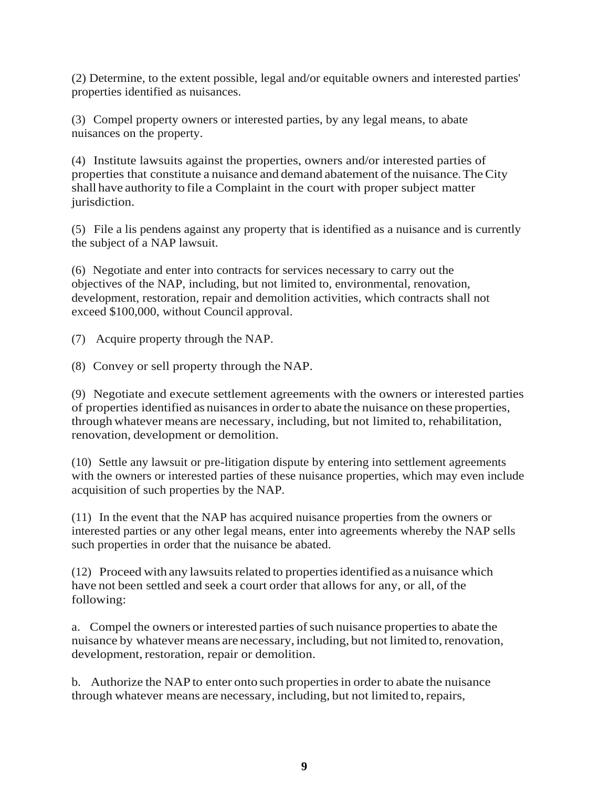(2) Determine, to the extent possible, legal and/or equitable owners and interested parties' properties identified as nuisances.

(3) Compel property owners or interested parties, by any legal means, to abate nuisances on the property.

(4) Institute lawsuits against the properties, owners and/or interested parties of properties that constitute a nuisance and demand abatement of the nuisance. The City shall have authority to file a Complaint in the court with proper subject matter jurisdiction.

(5) File a lis pendens against any property that is identified as a nuisance and is currently the subject of a NAP lawsuit.

(6) Negotiate and enter into contracts for services necessary to carry out the objectives of the NAP, including, but not limited to, environmental, renovation, development, restoration, repair and demolition activities, which contracts shall not exceed \$100,000, without Council approval.

(7) Acquire property through the NAP.

(8) Convey or sell property through the NAP.

(9) Negotiate and execute settlement agreements with the owners or interested parties of properties identified as nuisancesin orderto abate the nuisance on these properties, through whatever means are necessary, including, but not limited to, rehabilitation, renovation, development or demolition.

(10) Settle any lawsuit or pre-litigation dispute by entering into settlement agreements with the owners or interested parties of these nuisance properties, which may even include acquisition of such properties by the NAP.

(11) In the event that the NAP has acquired nuisance properties from the owners or interested parties or any other legal means, enter into agreements whereby the NAP sells such properties in order that the nuisance be abated.

(12) Proceed with any lawsuitsrelated to propertiesidentified as a nuisance which have not been settled and seek a court order that allows for any, or all, of the following:

a. Compel the owners or interested parties of such nuisance properties to abate the nuisance by whatever means are necessary, including, but not limited to, renovation, development, restoration, repair or demolition.

b. Authorize the NAP to enter onto such properties in order to abate the nuisance through whatever means are necessary, including, but not limited to,repairs,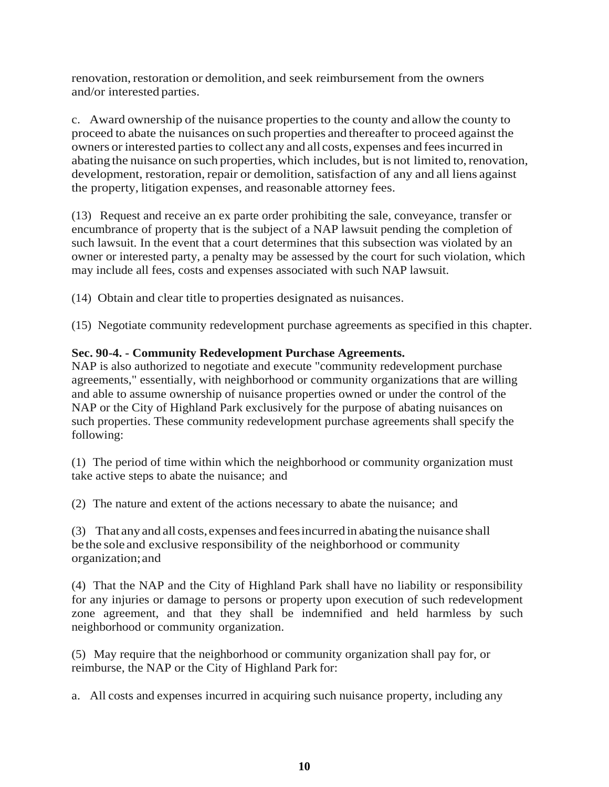renovation, restoration or demolition, and seek reimbursement from the owners and/or interested parties.

c. Award ownership of the nuisance propertiesto the county and allow the county to proceed to abate the nuisances on such properties and thereafter to proceed against the owners or interested partiesto collect any and all costs, expenses and feesincurred in abating the nuisance on such properties, which includes, but is not limited to,renovation, development, restoration, repair or demolition, satisfaction of any and all liens against the property, litigation expenses, and reasonable attorney fees.

(13) Request and receive an ex parte order prohibiting the sale, conveyance, transfer or encumbrance of property that is the subject of a NAP lawsuit pending the completion of such lawsuit. In the event that a court determines that this subsection was violated by an owner or interested party, a penalty may be assessed by the court for such violation, which may include all fees, costs and expenses associated with such NAP lawsuit.

(14) Obtain and clear title to properties designated as nuisances.

(15) Negotiate community redevelopment purchase agreements as specified in this chapter.

# **Sec. 90-4. - Community Redevelopment Purchase Agreements.**

NAP is also authorized to negotiate and execute "community redevelopment purchase agreements," essentially, with neighborhood or community organizations that are willing and able to assume ownership of nuisance properties owned or under the control of the NAP or the City of Highland Park exclusively for the purpose of abating nuisances on such properties. These community redevelopment purchase agreements shall specify the following:

(1) The period of time within which the neighborhood or community organization must take active steps to abate the nuisance; and

(2) The nature and extent of the actions necessary to abate the nuisance; and

(3) That any and all costs,expenses andfeesincurred in abatingthe nuisance shall be the sole and exclusive responsibility of the neighborhood or community organization;and

(4) That the NAP and the City of Highland Park shall have no liability or responsibility for any injuries or damage to persons or property upon execution of such redevelopment zone agreement, and that they shall be indemnified and held harmless by such neighborhood or community organization.

(5) May require that the neighborhood or community organization shall pay for, or reimburse, the NAP or the City of Highland Park for:

a. All costs and expenses incurred in acquiring such nuisance property, including any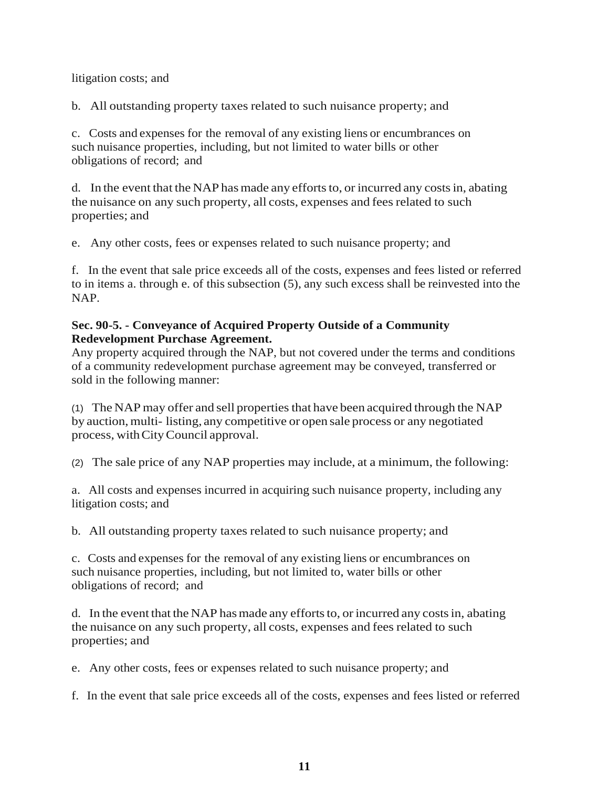## litigation costs; and

b. All outstanding property taxes related to such nuisance property; and

c. Costs and expenses for the removal of any existing liens or encumbrances on such nuisance properties, including, but not limited to water bills or other obligations of record; and

d. In the event that the NAP has made any efforts to, or incurred any costs in, abating the nuisance on any such property, all costs, expenses and fees related to such properties; and

e. Any other costs, fees or expenses related to such nuisance property; and

f. In the event that sale price exceeds all of the costs, expenses and fees listed or referred to in items a. through e. of this subsection (5), any such excess shall be reinvested into the NAP.

## **Sec. 90-5. - Conveyance of Acquired Property Outside of a Community Redevelopment Purchase Agreement.**

Any property acquired through the NAP, but not covered under the terms and conditions of a community redevelopment purchase agreement may be conveyed, transferred or sold in the following manner:

(1) The NAP may offer and sell properties that have been acquired through the NAP by auction,multi- listing, any competitive or open sale process or any negotiated process, withCityCouncil approval.

(2) The sale price of any NAP properties may include, at a minimum, the following:

a. All costs and expenses incurred in acquiring such nuisance property, including any litigation costs; and

b. All outstanding property taxes related to such nuisance property; and

c. Costs and expenses for the removal of any existing liens or encumbrances on such nuisance properties, including, but not limited to, water bills or other obligations of record; and

d. In the event that the NAP has made any efforts to, or incurred any costs in, abating the nuisance on any such property, all costs, expenses and fees related to such properties; and

e. Any other costs, fees or expenses related to such nuisance property; and

f. In the event that sale price exceeds all of the costs, expenses and fees listed or referred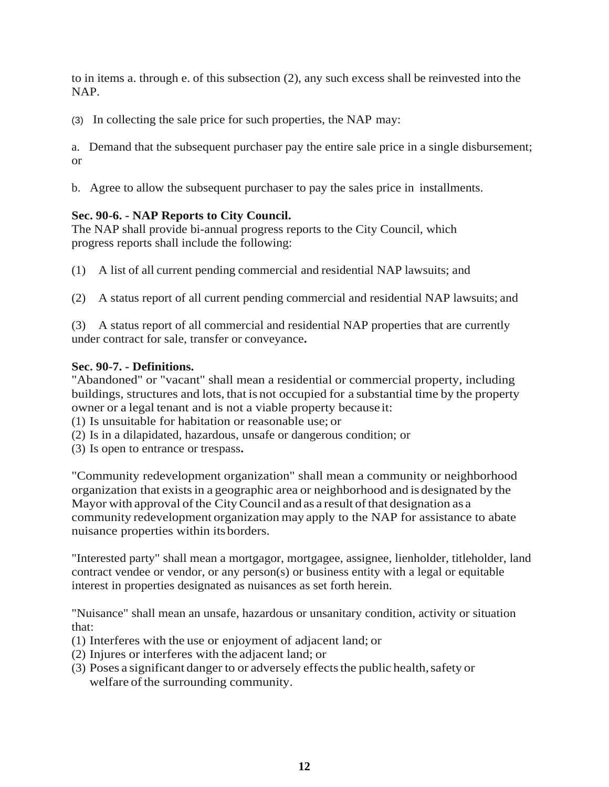to in items a. through e. of this subsection (2), any such excess shall be reinvested into the NAP.

(3) In collecting the sale price for such properties, the NAP may:

a. Demand that the subsequent purchaser pay the entire sale price in a single disbursement; or

b. Agree to allow the subsequent purchaser to pay the sales price in installments.

# **Sec. 90-6. - NAP Reports to City Council.**

The NAP shall provide bi-annual progress reports to the City Council, which progress reports shall include the following:

- (1) A list of all current pending commercial and residential NAP lawsuits; and
- (2) A status report of all current pending commercial and residential NAP lawsuits; and
- (3) A status report of all commercial and residential NAP properties that are currently under contract for sale, transfer or conveyance**.**

# **Sec. 90-7. - Definitions.**

"Abandoned" or "vacant" shall mean a residential or commercial property, including buildings, structures and lots, that is not occupied for a substantial time by the property owner or a legal tenant and is not a viable property because it:

(1) Is unsuitable for habitation or reasonable use; or

- (2) Is in a dilapidated, hazardous, unsafe or dangerous condition; or
- (3) Is open to entrance or trespass**.**

"Community redevelopment organization" shall mean a community or neighborhood organization that existsin a geographic area or neighborhood and is designated by the Mayor with approval of the City Council and as a result of that designation as a community redevelopment organization may apply to the NAP for assistance to abate nuisance properties within itsborders.

"Interested party" shall mean a mortgagor, mortgagee, assignee, lienholder, titleholder, land contract vendee or vendor, or any person(s) or business entity with a legal or equitable interest in properties designated as nuisances as set forth herein.

"Nuisance" shall mean an unsafe, hazardous or unsanitary condition, activity or situation that:

- (1) Interferes with the use or enjoyment of adjacent land; or
- (2) Injures or interferes with the adjacent land; or
- (3) Poses a significant danger to or adversely effects the public health, safety or welfare of the surrounding community.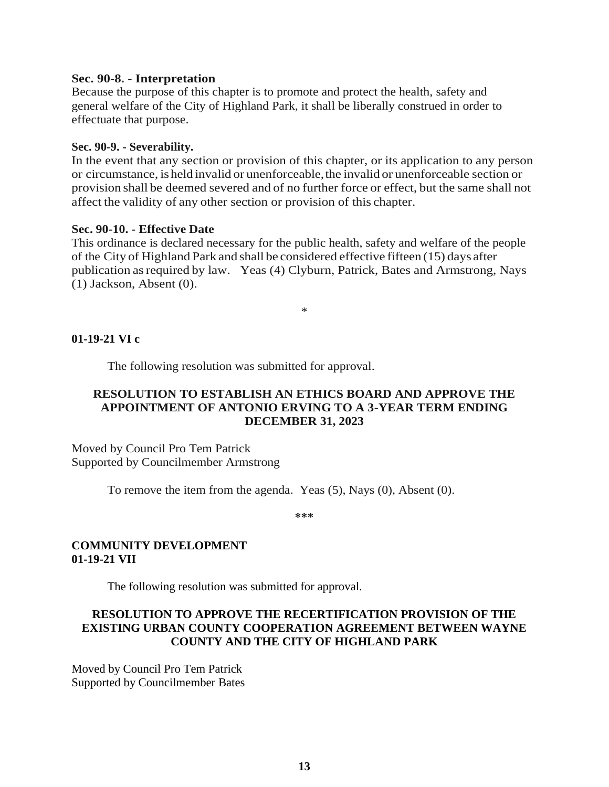#### **Sec. 90-8. - Interpretation**

Because the purpose of this chapter is to promote and protect the health, safety and general welfare of the City of Highland Park, it shall be liberally construed in order to effectuate that purpose.

### **Sec. 90-9. - Severability.**

In the event that any section or provision of this chapter, or its application to any person or circumstance, isheld invalid or unenforceable,the invalid or unenforceable section or provision shall be deemed severed and of no further force or effect, but the same shall not affect the validity of any other section or provision of this chapter.

### **Sec. 90-10. - Effective Date**

This ordinance is declared necessary for the public health, safety and welfare of the people of the City of Highland Park and shall be considered effective fifteen (15) days after publication asrequired by law. Yeas (4) Clyburn, Patrick, Bates and Armstrong, Nays (1) Jackson, Absent (0).

\*

### **01-19-21 VI c**

The following resolution was submitted for approval.

## **RESOLUTION TO ESTABLISH AN ETHICS BOARD AND APPROVE THE APPOINTMENT OF ANTONIO ERVING TO A 3-YEAR TERM ENDING DECEMBER 31, 2023**

Moved by Council Pro Tem Patrick Supported by Councilmember Armstrong

To remove the item from the agenda. Yeas (5), Nays (0), Absent (0).

**\*\*\***

### **COMMUNITY DEVELOPMENT 01-19-21 VII**

The following resolution was submitted for approval.

# **RESOLUTION TO APPROVE THE RECERTIFICATION PROVISION OF THE EXISTING URBAN COUNTY COOPERATION AGREEMENT BETWEEN WAYNE COUNTY AND THE CITY OF HIGHLAND PARK**

Moved by Council Pro Tem Patrick Supported by Councilmember Bates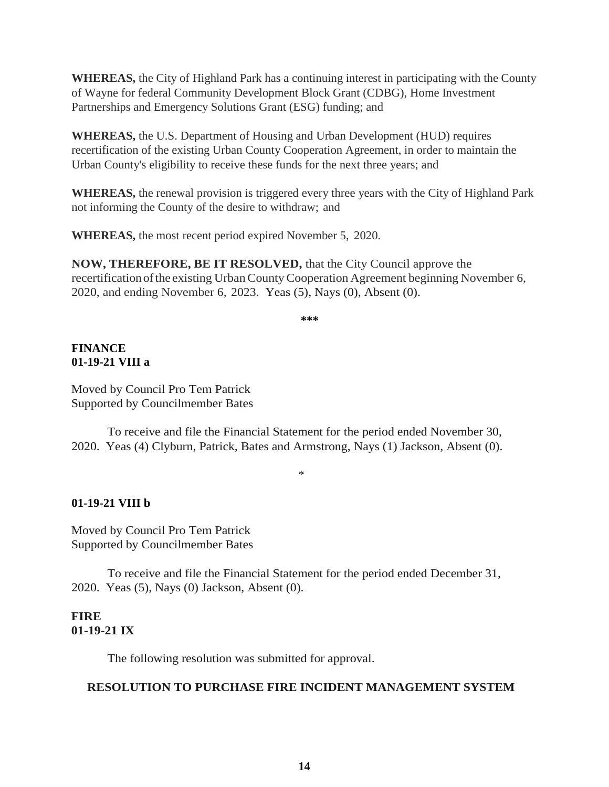**WHEREAS,** the City of Highland Park has a continuing interest in participating with the County of Wayne for federal Community Development Block Grant (CDBG), Home Investment Partnerships and Emergency Solutions Grant (ESG) funding; and

**WHEREAS,** the U.S. Department of Housing and Urban Development (HUD) requires recertification of the existing Urban County Cooperation Agreement, in order to maintain the Urban County's eligibility to receive these funds for the next three years; and

**WHEREAS,** the renewal provision is triggered every three years with the City of Highland Park not informing the County of the desire to withdraw; and

**WHEREAS,** the most recent period expired November 5, 2020.

**NOW, THEREFORE, BE IT RESOLVED,** that the City Council approve the recertificationofthe existing UrbanCountyCooperation Agreement beginning November 6, 2020, and ending November 6, 2023. Yeas (5), Nays (0), Absent (0).

**\*\*\***

# **FINANCE 01-19-21 VIII a**

Moved by Council Pro Tem Patrick Supported by Councilmember Bates

To receive and file the Financial Statement for the period ended November 30, 2020. Yeas (4) Clyburn, Patrick, Bates and Armstrong, Nays (1) Jackson, Absent (0).

# \*

# **01-19-21 VIII b**

Moved by Council Pro Tem Patrick Supported by Councilmember Bates

To receive and file the Financial Statement for the period ended December 31, 2020. Yeas (5), Nays (0) Jackson, Absent (0).

# **FIRE 01-19-21 IX**

The following resolution was submitted for approval.

# **RESOLUTION TO PURCHASE FIRE INCIDENT MANAGEMENT SYSTEM**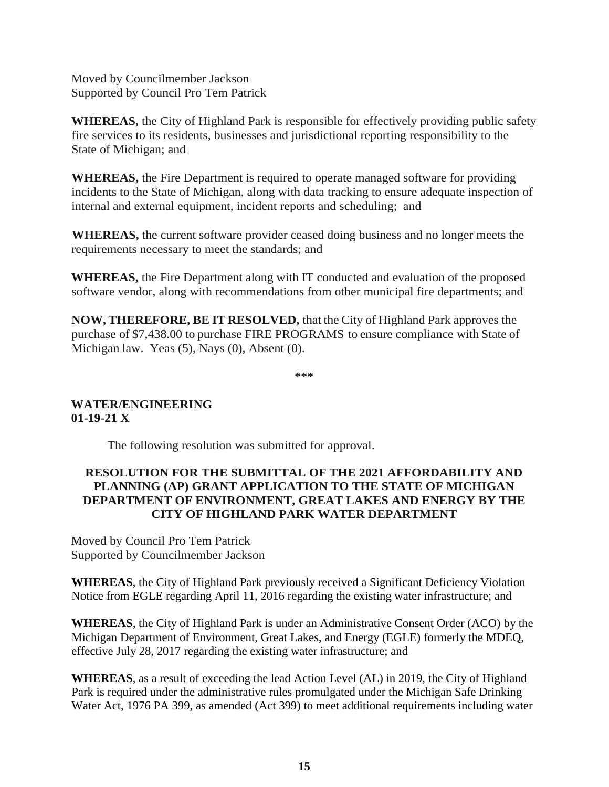Moved by Councilmember Jackson Supported by Council Pro Tem Patrick

**WHEREAS,** the City of Highland Park is responsible for effectively providing public safety fire services to its residents, businesses and jurisdictional reporting responsibility to the State of Michigan; and

**WHEREAS,** the Fire Department is required to operate managed software for providing incidents to the State of Michigan, along with data tracking to ensure adequate inspection of internal and external equipment, incident reports and scheduling; and

**WHEREAS,** the current software provider ceased doing business and no longer meets the requirements necessary to meet the standards; and

**WHEREAS,** the Fire Department along with IT conducted and evaluation of the proposed software vendor, along with recommendations from other municipal fire departments; and

**NOW, THEREFORE, BE IT RESOLVED,** that the City of Highland Park approves the purchase of \$7,438.00 to purchase FIRE PROGRAMS to ensure compliance with State of Michigan law. Yeas (5), Nays (0), Absent (0).

**\*\*\***

# **WATER/ENGINEERING 01-19-21 X**

The following resolution was submitted for approval.

# **RESOLUTION FOR THE SUBMITTAL OF THE 2021 AFFORDABILITY AND PLANNING (AP) GRANT APPLICATION TO THE STATE OF MICHIGAN DEPARTMENT OF ENVIRONMENT, GREAT LAKES AND ENERGY BY THE CITY OF HIGHLAND PARK WATER DEPARTMENT**

Moved by Council Pro Tem Patrick Supported by Councilmember Jackson

**WHEREAS**, the City of Highland Park previously received a Significant Deficiency Violation Notice from EGLE regarding April 11, 2016 regarding the existing water infrastructure; and

**WHEREAS**, the City of Highland Park is under an Administrative Consent Order (ACO) by the Michigan Department of Environment, Great Lakes, and Energy (EGLE) formerly the MDEQ, effective July 28, 2017 regarding the existing water infrastructure; and

**WHEREAS**, as a result of exceeding the lead Action Level (AL) in 2019, the City of Highland Park is required under the administrative rules promulgated under the Michigan Safe Drinking Water Act, 1976 PA 399, as amended (Act 399) to meet additional requirements including water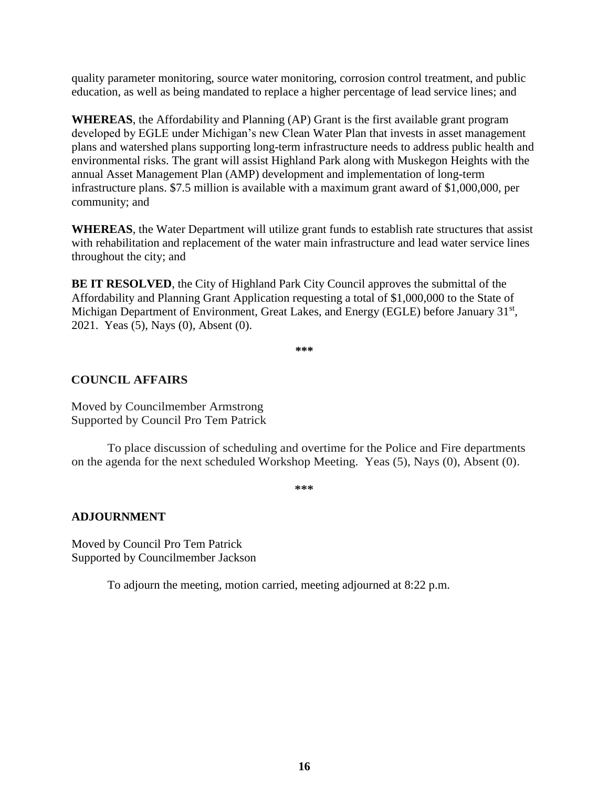quality parameter monitoring, source water monitoring, corrosion control treatment, and public education, as well as being mandated to replace a higher percentage of lead service lines; and

**WHEREAS**, the Affordability and Planning (AP) Grant is the first available grant program developed by EGLE under Michigan's new Clean Water Plan that invests in asset management plans and watershed plans supporting long-term infrastructure needs to address public health and environmental risks. The grant will assist Highland Park along with Muskegon Heights with the annual Asset Management Plan (AMP) development and implementation of long-term infrastructure plans. \$7.5 million is available with a maximum grant award of \$1,000,000, per community; and

**WHEREAS**, the Water Department will utilize grant funds to establish rate structures that assist with rehabilitation and replacement of the water main infrastructure and lead water service lines throughout the city; and

**BE IT RESOLVED**, the City of Highland Park City Council approves the submittal of the Affordability and Planning Grant Application requesting a total of \$1,000,000 to the State of Michigan Department of Environment, Great Lakes, and Energy (EGLE) before January 31<sup>st</sup>, 2021. Yeas (5), Nays (0), Absent (0).

**\*\*\***

# **COUNCIL AFFAIRS**

Moved by Councilmember Armstrong Supported by Council Pro Tem Patrick

To place discussion of scheduling and overtime for the Police and Fire departments on the agenda for the next scheduled Workshop Meeting. Yeas (5), Nays (0), Absent (0).

**\*\*\***

### **ADJOURNMENT**

Moved by Council Pro Tem Patrick Supported by Councilmember Jackson

To adjourn the meeting, motion carried, meeting adjourned at 8:22 p.m.